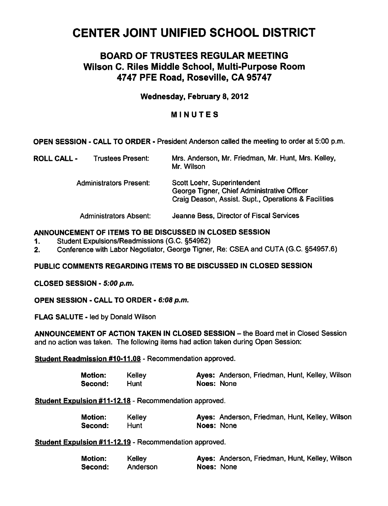# CENTER JOINT UNIFIED SCHOOL DISTRICT

# BOARD OF TRUSTEES REGULAR MEETING Wilson C. Riles Middle School, Multi-Purpose Room 4747 PFE Road, Roseville, CA 95747

# Wednesday, February 8, 2012

# MINUTES

OPEN SESSION CALL TO ORDER • President Anderson called the meeting to order at 5:00 p.m.

| <b>ROLL CALL -</b> | Trustees Present:              | Mrs. Anderson, Mr. Friedman, Mr. Hunt, Mrs. Kelley,<br>Mr. Wilson                                                                  |
|--------------------|--------------------------------|------------------------------------------------------------------------------------------------------------------------------------|
|                    | <b>Administrators Present:</b> | Scott Loehr, Superintendent<br>George Tigner, Chief Administrative Officer<br>Craig Deason, Assist. Supt., Operations & Facilities |
|                    | <b>Administrators Absent:</b>  | Jeanne Bess, Director of Fiscal Services                                                                                           |

# ANNOUNCEMENT OF ITEMS TO BE DISCUSSED IN CLOSED SESSION

- 1. Student Expulsions/Readmissions (G.C. §54962)
- 2. Conference with Labor Negotiator, George Tigner, Re: CSEA and CUTA (G.C. §54957.6)

#### PUBLIC COMMENTS REGARDING ITEMS TO BE DISCUSSED IN CLOSED SESSION

CLOSED SESSION - 5:00 p.m.

OPEN SESSION - CALL TO ORDER - 6:08 p.m.

FLAG SALUTE - led by Donald Wilson

ANNOUNCEMENT OF ACTION TAKEN IN CLOSED SESSION - the Board met in Closed Session and no action was taken. The following items had action taken during Open Session:

Student Readmission #10-11.08 - Recommendation approved.

| <b>Motion:</b> | Kelley |            | Ayes: Anderson, Friedman, Hunt, Kelley, Wilson |
|----------------|--------|------------|------------------------------------------------|
| Second:        | Hunt   | Noes: None |                                                |

Student Expulsion #11-12.18 - Recommendation approved.

| Motion: | Kelley |            | Ayes: Anderson, Friedman, Hunt, Kelley, Wilson |
|---------|--------|------------|------------------------------------------------|
| Second: | Hunt   | Noes: None |                                                |

Student Expulsion #11-12.19 - Recommendation approved.

| <b>Motion:</b> | Kelley   |            | Ayes: Anderson, Friedman, Hunt, Kelley, Wilson |
|----------------|----------|------------|------------------------------------------------|
| Second:        | Anderson | Noes: None |                                                |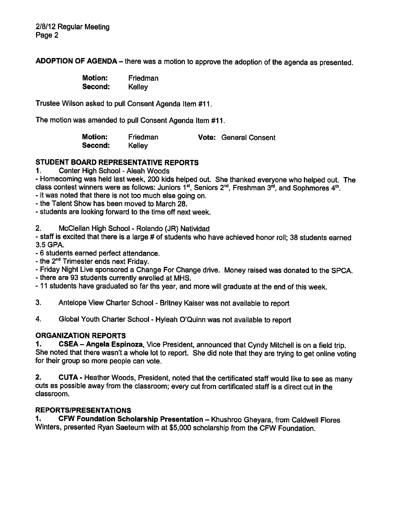ADOPTION OF AGENDA - there was a motion to approve the adoption of the agenda as presented.

| <b>Motion:</b> | Friedman |
|----------------|----------|
| Second:        | Kelley   |

Trustee Wilson asked to pull Consent Agenda Item #11.

The motion was amended to pull Consent Agenda Item #11.

Motion: Friedman Vote: General Consent Second: Kelley

# STUDENT BOARD REPRESENTATIVE REPORTS

1. Center High School - Aleah Woods

Homecoming was held last week, 200 kids helped out. She thanked everyone who helped out. The class contest winners were as follows: Juniors  $1^{st}$ , Seniors  $2^{nd}$ , Freshman  $3^{rd}$ , and Sophmores  $4^{th}$ .

it was noted that there is not too much else going on.

- the Talent Show has been moved to March 28.

students are looking forward to the time off next week.

2. McClellan High School - Rolando (JR) Natividad

staff is excited that there is a large # of students who have achieved honor roll; 38 students earned 3.5 GPA.

6 students earned perfect attendance.

- the  $2<sup>nd</sup>$  Trimester ends next Friday.

Friday Night Live sponsored a Change For Change drive. Money raised was donated to the SPCA.

there are 93 students currently enrolled at MHS.

-11 students have graduated so far ths year, and more will graduate at the end of this week.

3. Antelope View Charter School - Britney Kaiser was not available to report

4. Global Youth Charter School - Hyleah O'Quinn was not available to report

# ORGANIZATION REPORTS

1. CSEA - Angela Espinoza, Vice President, announced that Cyndy Mitchell is on a field trip. She noted that there wasn't a whole lot to report. She did note that they are trying to get online voting for their group so more people can vote.

2. CUTA - Heather Woods, President, noted that the certificated staff would like to see as many cuts as possible away from the classroom; every cut from certificated staff is a direct cut in the classroom.

# REPORTS/PRESENTATIONS

1. CFW Foundation Scholarship Presentation - Khushroo Gheyara, from Caldwell Flores Winters, presented Ryan Saeteurn with at \$5,000 scholarship from the CFW Foundation.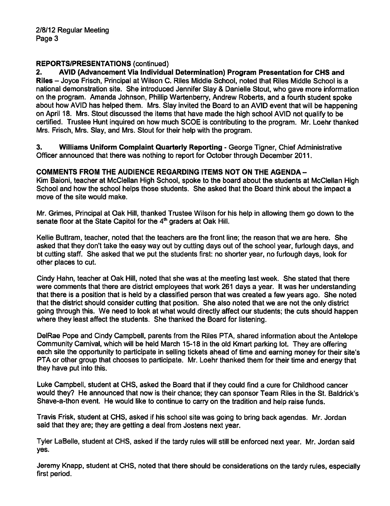# REPORTS/PRESENTATIONS (continued)

2. AVID (Advancement Via Individual Determination) Program Presentation for CHS and Riles Joyce Frisch, Principal at Wilson C. Riles Middle School, noted that Riles Middle School is a national demonstration site. She introduced Jennifer Slay & Danielle Stout, who gave more information on the program. Amanda Johnson, Phillip Wartenberry, Andrew Roberts, and a fourth student spoke about how AVID has helped them. Mrs. Slay invited the Board to an AVID event that will be happening on April 18. Mrs. Stout discussed the items that have made the high school AVID not qualify to be certified. Trustee Hunt inquired on how much SCOE is contributing to the program. Mr. Loehr thanked Mrs. Frisch, Mrs. Slay, and Mrs. Stout for their help with the program.

3. Williams Uniform Complaint Quarterly Reporting - George Tigner, Chief Administrative Officer announced that there was nothing to report for October through December 2011.

# COMMENTS FROM THE AUDIENCE REGARDING ITEMS NOT ON THE AGENDA-

Kim Baioni, teacher at McClellan High School, spoke to the board about the students at McClellan High School and how the school helps those students. She asked that the Board think about the impact a move of the site would make.

Mr. Grimes, Principal at Oak Hill, thanked Trustee Wilson for his help in allowing them go down to the senate floor at the State Capitol for the 4<sup>th</sup> graders at Oak Hill.

Kellie Buttram, teacher, noted that the teachers are the front line; the reason that we are here. She asked that they don't take the easy way out by cutting days out of the school year, furlough days, and bt cutting staff. She asked that we put the students first: no shorter year, no furlough days, look for other places to cut.

Cindy Hahn, teacher at Oak Hill, noted that she was at the meeting last week. She stated that there were comments that there are district employees that work 261 days a year. It was her understanding that there is a position that is held by a classified person that was created a few years ago. She noted that the district should consider cutting that position. She also noted that we are not the only district going through this. We need to look at what would directly affect our students; the cuts should happen where they least affect the students. She thanked the Board for listening.

DelRae Pope and Cindy Campbell, parents from the Riles PTA, shared information about the Antelope Community Carnival, which will be held March 15-18 in the old Kmart parking lot. They are offering each site the opportunity to participate in selling tickets ahead of time and earning money for their site's PTA or other group that chooses to participate. Mr. Loehr thanked them for their time and energy that they have put into this.

Luke Campbell, student at CHS, asked the Board that if they could find a cure for Childhood cancer would they? He announced that now is their chance; they can sponsor Team Riles in the St. Baldrick's Shave-a-thon event. He would like to continue to carry on the tradition and help raise funds.

Travis Frisk, student at CHS, asked if his school site was going to bring back agendas. Mr. Jordan said that they are; they are getting a deal from Jostens next year.

Tyler LaBelle, student at CHS, asked if the tardy rules will still be enforced next year. Mr. Jordan said yes.

Jeremy Knapp, student at CHS, noted that there should be considerations on the tardy rules, especially first period.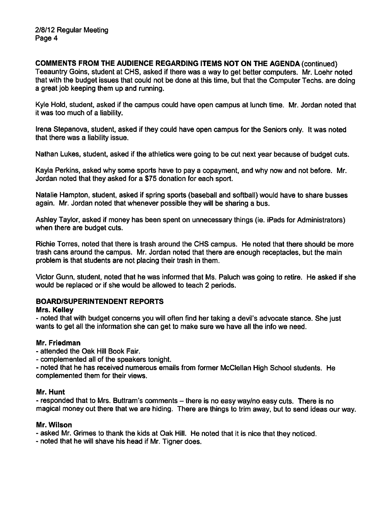COMMENTS FROM THE AUDIENCE REGARDING ITEMS NOT ON THE AGENDA (continued) Teeauntry Goins, student at CHS, asked if there was a way to get better computers. Mr. Loehr noted that with the budget issues that could not be done at this time, but that the Computer Techs, are doing a great job keeping them up and running.

Kyle Hold, student, asked if the campus could have open campus at lunch time. Mr. Jordan noted that it was too much of a liability.

Irena Stepanova, student, asked if they could have open campus for the Seniors only. It was noted that there was a liability issue.

Nathan Lukes, student, asked if the athletics were going to be cut next year because of budget cuts.

Kayla Perkins, asked why some sports have to pay a copayment, and why now and not before. Mr. Jordan noted that they asked for a \$75 donation for each sport.

Natalie Hampton, student, asked if spring sports (baseball and softball) would have to share busses again. Mr. Jordan noted that whenever possible they will be sharing a bus.

Ashley Taylor, asked if money has been spent on unnecessary things (ie. iPads for Administrators) when there are budget cuts.

Richie Torres, noted that there is trash around the CHS campus. He noted that there should be more trash cans around the campus. Mr. Jordan noted that there are enough receptacles, but the main problem is that students are not placing their trash in them.

Victor Gunn, student, noted that he was informed that Ms. Paluch was going to retire. He asked if she would be replaced or if she would be allowed to teach 2 periods.

#### BOARD/SUPERINTENDENT REPORTS

#### Mrs. Kelley

noted that with budget concerns you will often find her taking a devil's advocate stance. She just wants to get all the information she can get to make sure we have all the info we need.

#### Mr. Friedman

attended the Oak Hill Book Fair.

complemented all of the speakers tonight.

noted that he has received numerous emails from former McClellan High School students. He complemented them for their views.

#### Mr. Hunt

- responded that to Mrs. Buttram's comments - there is no easy way/no easy cuts. There is no magical money out there that we are hiding. There are things to trim away, but to send ideas our way.

#### Mr. Wilson

asked Mr. Grimes to thank the kids at Oak Hill. He noted that it is nice that they noticed.

noted that he will shave his head if Mr. Tigner does.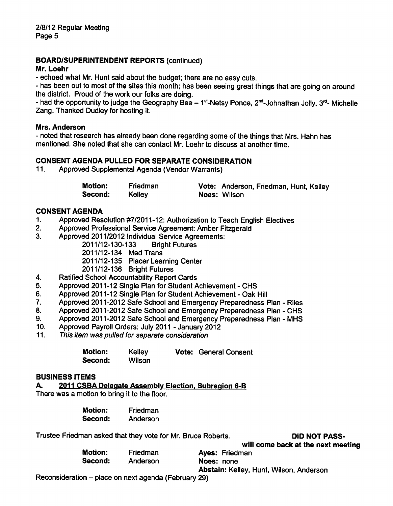# BOARD/SUPERINTENDENT REPORTS (continued)

#### Mr. Loehr

echoed what Mr. Hunt said about the budget; there are no easy cuts.

- has been out to most of the sites this month; has been seeing great things that are going on around the district. Proud of the work our folks are doing.

- had the opportunity to judge the Geography Bee  $-1<sup>st</sup>$ -Netsy Ponce, 2<sup>nd</sup>-Johnathan Jolly, 3<sup>rd</sup>- Michelle Zang. Thanked Dudley for hosting it.

#### Mrs. Anderson

noted that research has already been done regarding some of the things that Mrs. Hahn has mentioned. She noted that she can contact Mr. Loehr to discuss at another time.

#### CONSENT AGENDA PULLED FOR SEPARATE CONSIDERATION

11. Approved Supplemental Agenda (Vendor Warrants)

| <b>Motion:</b> | Friedman | Vote: Anderson, Friedman, Hunt, Kelley |
|----------------|----------|----------------------------------------|
| Second:        | Kelley   | <b>Noes: Wilson</b>                    |

#### CONSENT AGENDA

- 1. Approved Resolution #7/2011-12: Authorization to Teach English Electives
- 2. Approved Professional Service Agreement: Amber Fitzgerald
- 3. Approved 2011/2012 Individual Service Agreements:

2011/12-130-133 Bright Futures

2011/12-134 Med Trans

2011/12-135 Placer Learning Center

2011/12-136 Bright Futures

- 4. Ratified School Accountability Report Cards
- 5. Approved 2011-12 Single Plan for Student Achievement CHS
- 6. Approved 2011-12 Single Plan for Student Achievement Oak Hill
- 7. Approved 2011-2012 Safe School and Emergency Preparedness Plan Riles
- 8. Approved 2011-2012 Safe School and Emergency Preparedness Plan CHS
- 9. Approved 2011-2012 Safe School and Emergency Preparedness Plan MHS
- 10. Approved Payroll Orders: July 2011 January 2012
- 11. This item was pulled for separate consideration

| <b>Motion:</b> | Kelley | <b>Vote: General Consent</b> |
|----------------|--------|------------------------------|
| Second:        | Wilson |                              |

#### BUSINESS ITEMS

A. 2011 CSBA Delegate Assembly Election, Subregion 6-B

There was a motion to bring it to the floor.

| Motion: | Friedman |
|---------|----------|
| Second: | Anderson |

Trustee Friedman asked that they vote for Mr. Bruce Roberts. **DID NOT PASS-**

will come back at the next meeting

|                |          | <u>WHI VOING DUCK OF HIS HOAL</u>       |
|----------------|----------|-----------------------------------------|
| <b>Motion:</b> | Friedman | <b>Ayes: Friedman</b>                   |
| Second:        | Anderson | Noes: none                              |
|                |          | Abstain: Kelley, Hunt, Wilson, Anderson |

Reconsideration  $-$  place on next agenda (February 29)